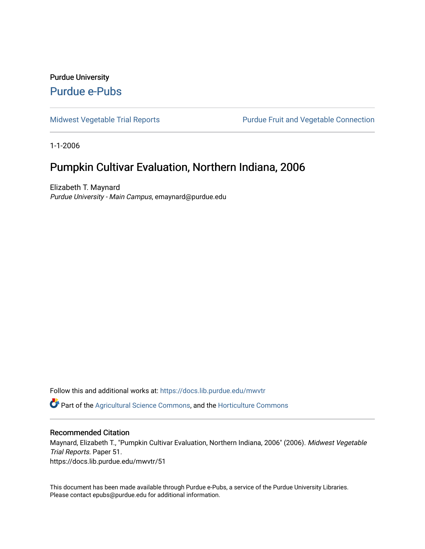## Purdue University [Purdue e-Pubs](https://docs.lib.purdue.edu/)

[Midwest Vegetable Trial Reports](https://docs.lib.purdue.edu/mwvtr) **Purdue Fruit and Vegetable Connection** 

1-1-2006

## Pumpkin Cultivar Evaluation, Northern Indiana, 2006

Elizabeth T. Maynard Purdue University - Main Campus, emaynard@purdue.edu

Follow this and additional works at: [https://docs.lib.purdue.edu/mwvtr](https://docs.lib.purdue.edu/mwvtr?utm_source=docs.lib.purdue.edu%2Fmwvtr%2F51&utm_medium=PDF&utm_campaign=PDFCoverPages) 

**Part of the [Agricultural Science Commons](http://network.bepress.com/hgg/discipline/1063?utm_source=docs.lib.purdue.edu%2Fmwvtr%2F51&utm_medium=PDF&utm_campaign=PDFCoverPages), and the Horticulture Commons** 

## Recommended Citation

Maynard, Elizabeth T., "Pumpkin Cultivar Evaluation, Northern Indiana, 2006" (2006). Midwest Vegetable Trial Reports. Paper 51.

https://docs.lib.purdue.edu/mwvtr/51

This document has been made available through Purdue e-Pubs, a service of the Purdue University Libraries. Please contact epubs@purdue.edu for additional information.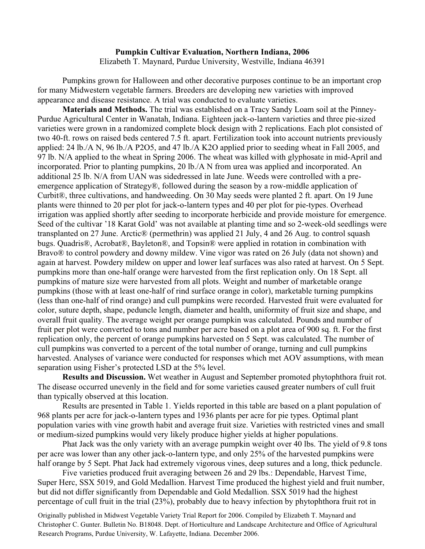## **Pumpkin Cultivar Evaluation, Northern Indiana, 2006** Elizabeth T. Maynard, Purdue University, Westville, Indiana 46391

Pumpkins grown for Halloween and other decorative purposes continue to be an important crop for many Midwestern vegetable farmers. Breeders are developing new varieties with improved appearance and disease resistance. A trial was conducted to evaluate varieties.

**Materials and Methods.** The trial was established on a Tracy Sandy Loam soil at the Pinney-Purdue Agricultural Center in Wanatah, Indiana. Eighteen jack-o-lantern varieties and three pie-sized varieties were grown in a randomized complete block design with 2 replications. Each plot consisted of two 40-ft. rows on raised beds centered 7.5 ft. apart. Fertilization took into account nutrients previously applied: 24 lb./A N, 96 lb./A P2O5, and 47 lb./A K2O applied prior to seeding wheat in Fall 2005, and 97 lb. N/A applied to the wheat in Spring 2006. The wheat was killed with glyphosate in mid-April and incorporated. Prior to planting pumpkins, 20 lb./A N from urea was applied and incorporated. An additional 25 lb. N/A from UAN was sidedressed in late June. Weeds were controlled with a preemergence application of Strategy®, followed during the season by a row-middle application of Curbit®, three cultivations, and handweeding. On 30 May seeds were planted 2 ft. apart. On 19 June plants were thinned to 20 per plot for jack-o-lantern types and 40 per plot for pie-types. Overhead irrigation was applied shortly after seeding to incorporate herbicide and provide moisture for emergence. Seed of the cultivar '18 Karat Gold' was not available at planting time and so 2-week-old seedlings were transplanted on 27 June. Arctic® (permethrin) was applied 21 July, 4 and 26 Aug. to control squash bugs. Quadris®, Acrobat®, Bayleton®, and Topsin® were applied in rotation in combination with Bravo® to control powdery and downy mildew. Vine vigor was rated on 26 July (data not shown) and again at harvest. Powdery mildew on upper and lower leaf surfaces was also rated at harvest. On 5 Sept. pumpkins more than one-half orange were harvested from the first replication only. On 18 Sept. all pumpkins of mature size were harvested from all plots. Weight and number of marketable orange pumpkins (those with at least one-half of rind surface orange in color), marketable turning pumpkins (less than one-half of rind orange) and cull pumpkins were recorded. Harvested fruit were evaluated for color, suture depth, shape, peduncle length, diameter and health, uniformity of fruit size and shape, and overall fruit quality. The average weight per orange pumpkin was calculated. Pounds and number of fruit per plot were converted to tons and number per acre based on a plot area of 900 sq. ft. For the first replication only, the percent of orange pumpkins harvested on 5 Sept. was calculated. The number of cull pumpkins was converted to a percent of the total number of orange, turning and cull pumpkins harvested. Analyses of variance were conducted for responses which met AOV assumptions, with mean separation using Fisher's protected LSD at the 5% level.

**Results and Discussion.** Wet weather in August and September promoted phytophthora fruit rot. The disease occurred unevenly in the field and for some varieties caused greater numbers of cull fruit than typically observed at this location.

Results are presented in Table 1. Yields reported in this table are based on a plant population of 968 plants per acre for jack-o-lantern types and 1936 plants per acre for pie types. Optimal plant population varies with vine growth habit and average fruit size. Varieties with restricted vines and small or medium-sized pumpkins would very likely produce higher yields at higher populations.

Phat Jack was the only variety with an average pumpkin weight over 40 lbs. The yield of 9.8 tons per acre was lower than any other jack-o-lantern type, and only 25% of the harvested pumpkins were half orange by 5 Sept. Phat Jack had extremely vigorous vines, deep sutures and a long, thick peduncle.

Five varieties produced fruit averaging between 26 and 29 lbs.: Dependable, Harvest Time, Super Herc, SSX 5019, and Gold Medallion. Harvest Time produced the highest yield and fruit number, but did not differ significantly from Dependable and Gold Medallion. SSX 5019 had the highest percentage of cull fruit in the trial (23%), probably due to heavy infection by phytophthora fruit rot in

Originally published in Midwest Vegetable Variety Trial Report for 2006. Compiled by Elizabeth T. Maynard and Christopher C. Gunter. Bulletin No. B18048. Dept. of Horticulture and Landscape Architecture and Office of Agricultural Research Programs, Purdue University, W. Lafayette, Indiana. December 2006.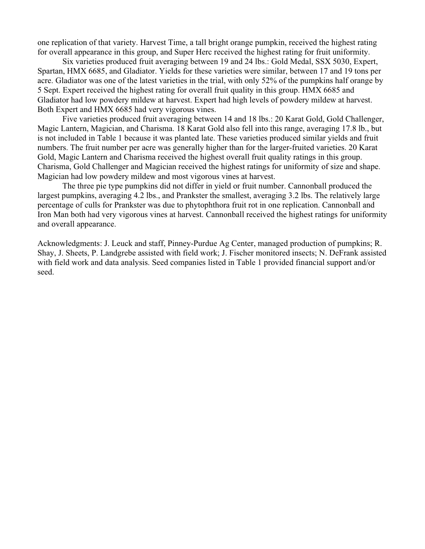one replication of that variety. Harvest Time, a tall bright orange pumpkin, received the highest rating for overall appearance in this group, and Super Herc received the highest rating for fruit uniformity.

Six varieties produced fruit averaging between 19 and 24 lbs.: Gold Medal, SSX 5030, Expert, Spartan, HMX 6685, and Gladiator. Yields for these varieties were similar, between 17 and 19 tons per acre. Gladiator was one of the latest varieties in the trial, with only 52% of the pumpkins half orange by 5 Sept. Expert received the highest rating for overall fruit quality in this group. HMX 6685 and Gladiator had low powdery mildew at harvest. Expert had high levels of powdery mildew at harvest. Both Expert and HMX 6685 had very vigorous vines.

Five varieties produced fruit averaging between 14 and 18 lbs.: 20 Karat Gold, Gold Challenger, Magic Lantern, Magician, and Charisma. 18 Karat Gold also fell into this range, averaging 17.8 lb., but is not included in Table 1 because it was planted late. These varieties produced similar yields and fruit numbers. The fruit number per acre was generally higher than for the larger-fruited varieties. 20 Karat Gold, Magic Lantern and Charisma received the highest overall fruit quality ratings in this group. Charisma, Gold Challenger and Magician received the highest ratings for uniformity of size and shape. Magician had low powdery mildew and most vigorous vines at harvest.

The three pie type pumpkins did not differ in yield or fruit number. Cannonball produced the largest pumpkins, averaging 4.2 lbs., and Prankster the smallest, averaging 3.2 lbs. The relatively large percentage of culls for Prankster was due to phytophthora fruit rot in one replication. Cannonball and Iron Man both had very vigorous vines at harvest. Cannonball received the highest ratings for uniformity and overall appearance.

Acknowledgments: J. Leuck and staff, Pinney-Purdue Ag Center, managed production of pumpkins; R. Shay, J. Sheets, P. Landgrebe assisted with field work; J. Fischer monitored insects; N. DeFrank assisted with field work and data analysis. Seed companies listed in Table 1 provided financial support and/or seed.